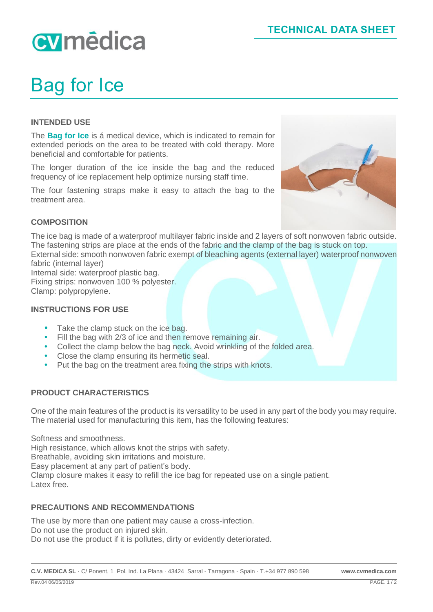# cymédica

# Bag for Ice

### **INTENDED USE**

The **Bag for Ice** is á medical device, which is indicated to remain for extended periods on the area to be treated with cold therapy. More beneficial and comfortable for patients.

The longer duration of the ice inside the bag and the reduced frequency of ice replacement help optimize nursing staff time.

The four fastening straps make it easy to attach the bag to the treatment area.



## **COMPOSITION**

The ice bag is made of a waterproof multilayer fabric inside and 2 layers of soft nonwoven fabric outside. The fastening strips are place at the ends of the fabric and the clamp of the bag is stuck on top. External side: smooth nonwoven fabric exempt of bleaching agents (external layer) waterproof nonwoven fabric (internal layer)

Internal side: waterproof plastic bag. Fixing strips: nonwoven 100 % polyester. Clamp: polypropylene.

#### **INSTRUCTIONS FOR USE**

- Take the clamp stuck on the ice bag.
- Fill the bag with 2/3 of ice and then remove remaining air.
- Collect the clamp below the bag neck. Avoid wrinkling of the folded area.
- Close the clamp ensuring its hermetic seal.
- Put the bag on the treatment area fixing the strips with knots.

#### **PRODUCT CHARACTERISTICS**

One of the main features of the product is its versatility to be used in any part of the body you may require. The material used for manufacturing this item, has the following features:

Softness and smoothness. High resistance, which allows knot the strips with safety. Breathable, avoiding skin irritations and moisture. Easy placement at any part of patient's body. Clamp closure makes it easy to refill the ice bag for repeated use on a single patient. Latex free.

#### **PRECAUTIONS AND RECOMMENDATIONS**

The use by more than one patient may cause a cross-infection. Do not use the product on injured skin. Do not use the product if it is pollutes, dirty or evidently deteriorated.